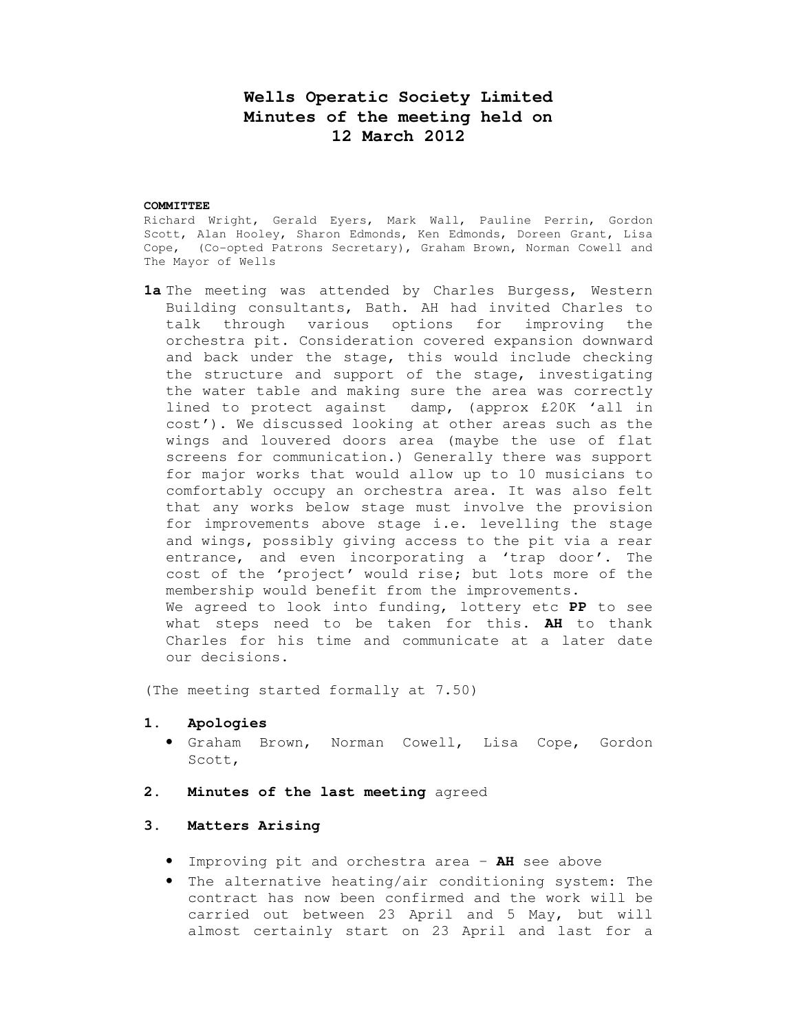# **Wells Operatic Society Limited Minutes of the meeting held on 12 March 2012**

#### **COMMITTEE**

Richard Wright, Gerald Eyers, Mark Wall, Pauline Perrin, Gordon Scott, Alan Hooley, Sharon Edmonds, Ken Edmonds, Doreen Grant, Lisa Cope, (Co-opted Patrons Secretary), Graham Brown, Norman Cowell and The Mayor of Wells

**1a** The meeting was attended by Charles Burgess, Western Building consultants, Bath. AH had invited Charles to talk through various options for improving the orchestra pit. Consideration covered expansion downward and back under the stage, this would include checking the structure and support of the stage, investigating the water table and making sure the area was correctly lined to protect against damp, (approx £20K 'all in cost'). We discussed looking at other areas such as the wings and louvered doors area (maybe the use of flat screens for communication.) Generally there was support for major works that would allow up to 10 musicians to comfortably occupy an orchestra area. It was also felt that any works below stage must involve the provision for improvements above stage i.e. levelling the stage and wings, possibly giving access to the pit via a rear entrance, and even incorporating a 'trap door'. The cost of the 'project' would rise; but lots more of the membership would benefit from the improvements. We agreed to look into funding, lottery etc **PP** to see what steps need to be taken for this. **AH** to thank Charles for his time and communicate at a later date our decisions.

(The meeting started formally at 7.50)

#### **1. Apologies**

- Graham Brown, Norman Cowell, Lisa Cope, Gordon Scott,
- **2. Minutes of the last meeting** agreed

## **3. Matters Arising**

- Improving pit and orchestra area **AH** see above
- The alternative heating/air conditioning system: The contract has now been confirmed and the work will be carried out between 23 April and 5 May, but will almost certainly start on 23 April and last for a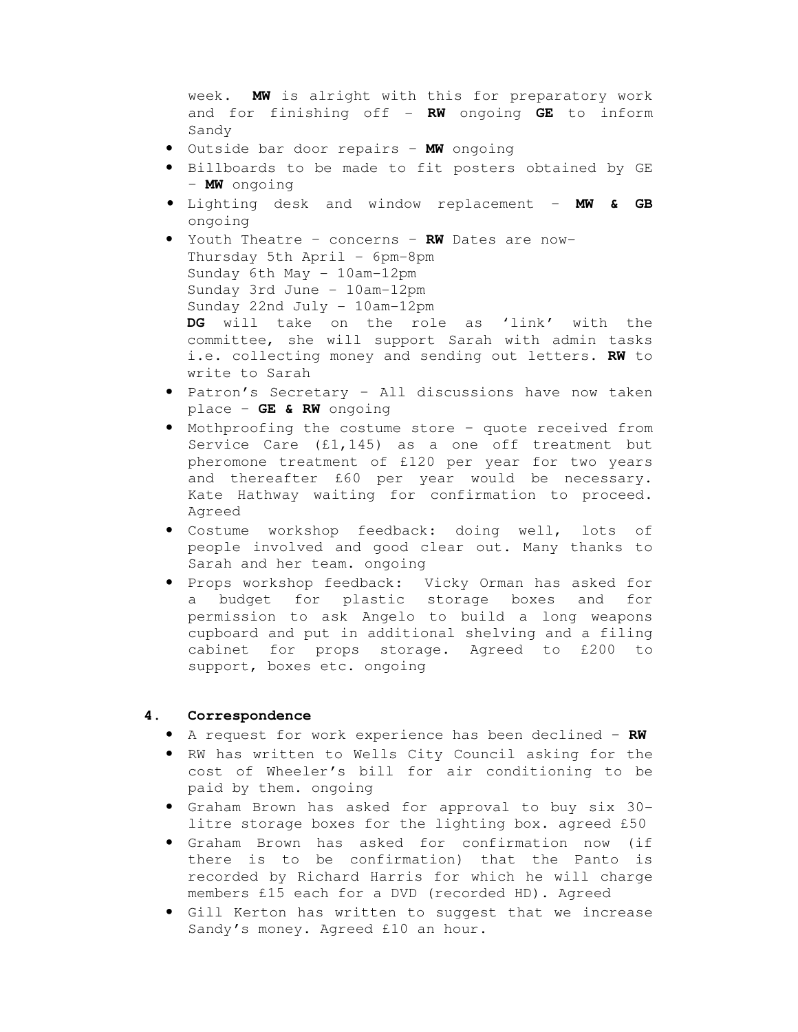week. **MW** is alright with this for preparatory work and for finishing off - **RW** ongoing **GE** to inform Sandy

- Outside bar door repairs **MW** ongoing
- Billboards to be made to fit posters obtained by GE – **MW** ongoing
- Lighting desk and window replacement **MW & GB**  ongoing
- Youth Theatre concerns **RW** Dates are now-Thursday 5th April - 6pm-8pm Sunday 6th May - 10am-12pm Sunday 3rd June - 10am-12pm Sunday 22nd July - 10am-12pm **DG** will take on the role as 'link' with the committee, she will support Sarah with admin tasks i.e. collecting money and sending out letters. **RW** to write to Sarah
- Patron's Secretary All discussions have now taken place – **GE & RW** ongoing
- Mothproofing the costume store quote received from Service Care (£1,145) as a one off treatment but pheromone treatment of £120 per year for two years and thereafter £60 per year would be necessary. Kate Hathway waiting for confirmation to proceed. Agreed
- Costume workshop feedback: doing well, lots of people involved and good clear out. Many thanks to Sarah and her team. ongoing
- Props workshop feedback: Vicky Orman has asked for a budget for plastic storage boxes and for permission to ask Angelo to build a long weapons cupboard and put in additional shelving and a filing cabinet for props storage. Agreed to £200 to support, boxes etc. ongoing

## **4. Correspondence**

- A request for work experience has been declined **RW**
- RW has written to Wells City Council asking for the cost of Wheeler's bill for air conditioning to be paid by them. ongoing
- Graham Brown has asked for approval to buy six 30 litre storage boxes for the lighting box. agreed £50
- Graham Brown has asked for confirmation now (if there is to be confirmation) that the Panto is recorded by Richard Harris for which he will charge members £15 each for a DVD (recorded HD). Agreed
- Gill Kerton has written to suggest that we increase Sandy's money. Agreed £10 an hour.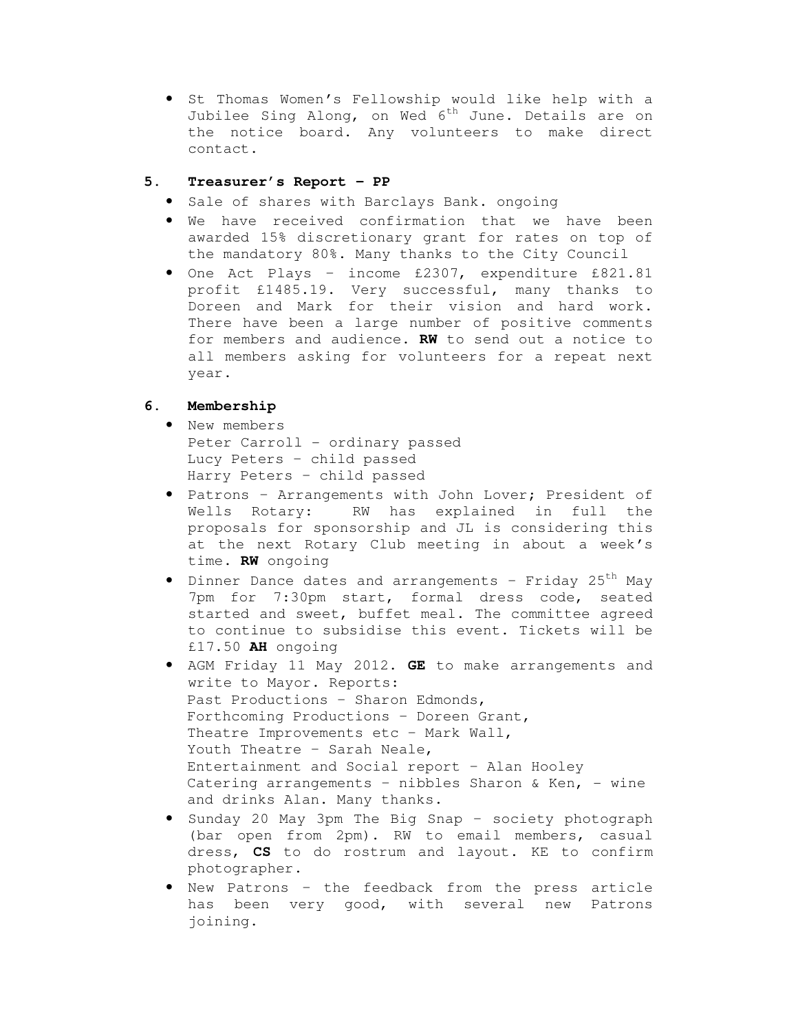• St Thomas Women's Fellowship would like help with a Jubilee Sing Along, on Wed  $6^{th}$  June. Details are on the notice board. Any volunteers to make direct contact.

## **5. Treasurer's Report – PP**

- Sale of shares with Barclays Bank. ongoing
- We have received confirmation that we have been awarded 15% discretionary grant for rates on top of the mandatory 80%. Many thanks to the City Council
- One Act Plays income £2307, expenditure £821.81 profit £1485.19. Very successful, many thanks to Doreen and Mark for their vision and hard work. There have been a large number of positive comments for members and audience. **RW** to send out a notice to all members asking for volunteers for a repeat next year.

## **6. Membership**

- New members Peter Carroll - ordinary passed Lucy Peters – child passed Harry Peters – child passed
- Patrons Arrangements with John Lover; President of Wells Rotary: RW has explained in full the proposals for sponsorship and JL is considering this at the next Rotary Club meeting in about a week's time. **RW** ongoing
- Dinner Dance dates and arrangements Friday  $25<sup>th</sup>$  May 7pm for 7:30pm start, formal dress code, seated started and sweet, buffet meal. The committee agreed to continue to subsidise this event. Tickets will be £17.50 **AH** ongoing
- AGM Friday 11 May 2012. **GE** to make arrangements and write to Mayor. Reports: Past Productions – Sharon Edmonds, Forthcoming Productions – Doreen Grant, Theatre Improvements etc – Mark Wall, Youth Theatre - Sarah Neale, Entertainment and Social report – Alan Hooley Catering arrangements - nibbles Sharon & Ken, - wine and drinks Alan. Many thanks.
- Sunday 20 May 3pm The Big Snap society photograph (bar open from 2pm). RW to email members, casual dress, **CS** to do rostrum and layout. KE to confirm photographer.
- New Patrons the feedback from the press article has been very good, with several new Patrons joining.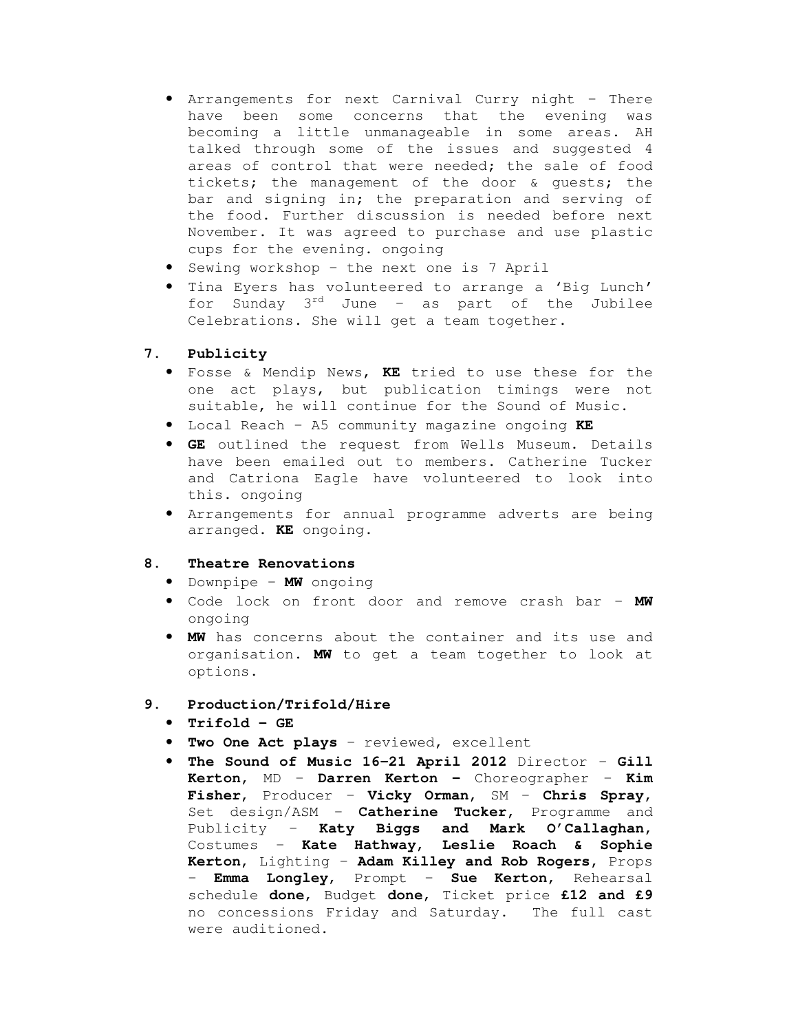- Arrangements for next Carnival Curry night There have been some concerns that the evening was becoming a little unmanageable in some areas. AH talked through some of the issues and suggested 4 areas of control that were needed; the sale of food tickets; the management of the door & guests; the bar and signing in; the preparation and serving of the food. Further discussion is needed before next November. It was agreed to purchase and use plastic cups for the evening. ongoing
- Sewing workshop the next one is 7 April
- Tina Eyers has volunteered to arrange a 'Big Lunch' for Sunday  $3^{rd}$  June – as part of the Jubilee Celebrations. She will get a team together.

## **7. Publicity**

- Fosse & Mendip News, **KE** tried to use these for the one act plays, but publication timings were not suitable, he will continue for the Sound of Music.
- Local Reach A5 community magazine ongoing **KE**
- **GE** outlined the request from Wells Museum. Details have been emailed out to members. Catherine Tucker and Catriona Eagle have volunteered to look into this. ongoing
- Arrangements for annual programme adverts are being arranged. **KE** ongoing.

## **8. Theatre Renovations**

- Downpipe **MW** ongoing
- Code lock on front door and remove crash bar **MW**  ongoing
- **MW** has concerns about the container and its use and organisation. **MW** to get a team together to look at options.

### **9. Production/Trifold/Hire**

- **Trifold GE**
- **Two One Act plays** reviewed, excellent
- **The Sound of Music 16-21 April 2012** Director **Gill Kerton,** MD – **Darren Kerton –** Choreographer – **Kim Fisher,** Producer – **Vicky Orman,** SM – **Chris Spray,**  Set design/ASM – **Catherine Tucker,** Programme and Publicity – **Katy Biggs and Mark O'Callaghan,**  Costumes – **Kate Hathway, Leslie Roach & Sophie Kerton,** Lighting – **Adam Killey and Rob Rogers,** Props – **Emma Longley**, Prompt – **Sue Kerton,** Rehearsal schedule **done**, Budget **done**, Ticket price **£12 and £9**  no concessions Friday and Saturday. The full cast were auditioned.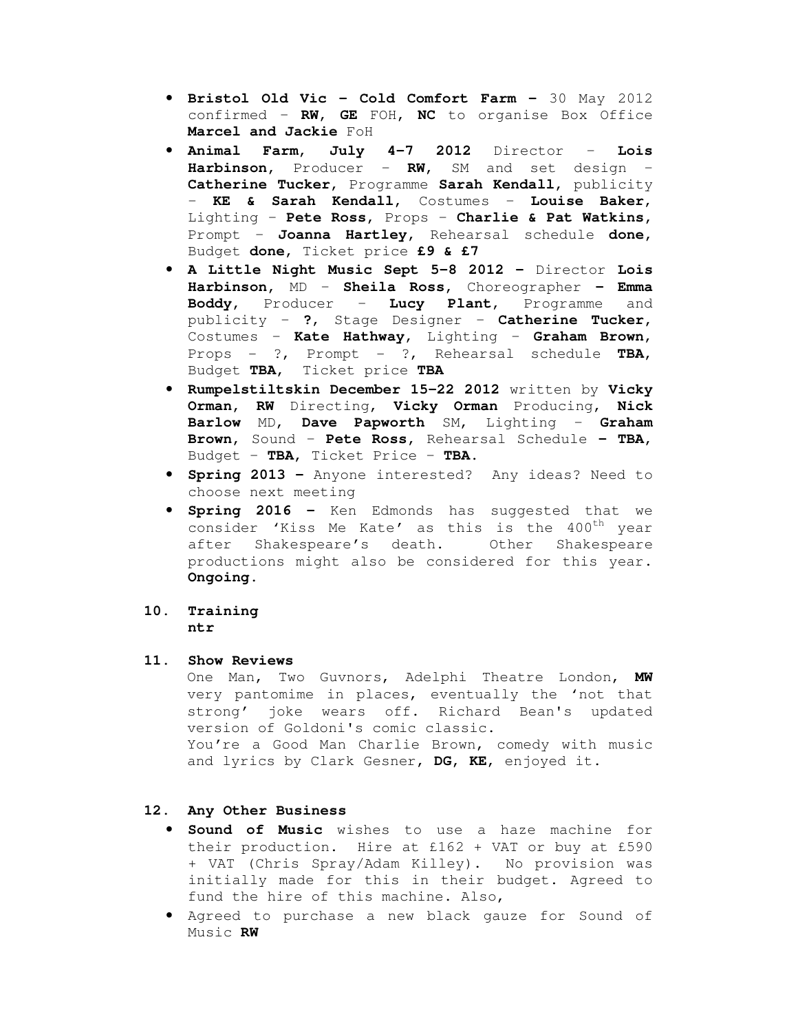- **Bristol Old Vic Cold Comfort Farm** 30 May 2012 confirmed – **RW, GE** FOH**, NC** to organise Box Office **Marcel and Jackie** FoH
- **Animal Farm, July 4-7 2012** Director **Lois Harbinson,** Producer – **RW,** SM and set design – **Catherine Tucker,** Programme **Sarah Kendall,** publicity – **KE & Sarah Kendall,** Costumes – **Louise Baker**, Lighting – **Pete Ross,** Props – **Charlie & Pat Watkins,**  Prompt – **Joanna Hartley,** Rehearsal schedule **done,**  Budget **done,** Ticket price **£9 & £7**
- **A Little Night Music Sept 5-8 2012** Director **Lois Harbinson,** MD – **Sheila Ross,** Choreographer **– Emma Boddy,** Producer – **Lucy Plant**, Programme and publicity – **?**, Stage Designer – **Catherine Tucker,**  Costumes – **Kate Hathway**, Lighting – **Graham Brown**, Props - ?, Prompt - ?, Rehearsal schedule **TBA,**  Budget **TBA,** Ticket price **TBA**
- **Rumpelstiltskin December 15-22 2012** written by **Vicky Orman, RW** Directing, **Vicky Orman** Producing, **Nick Barlow** MD, **Dave Papworth** SM, Lighting – **Graham Brown,** Sound – **Pete Ross,** Rehearsal Schedule **– TBA,**  Budget – **TBA,** Ticket Price – **TBA.**
- **Spring 2013** Anyone interested? Any ideas? Need to choose next meeting
- **Spring 2016** Ken Edmonds has suggested that we consider 'Kiss Me Kate' as this is the 400<sup>th</sup> year after Shakespeare's death. Other Shakespeare productions might also be considered for this year. **Ongoing.**

### **10. Training ntr**

#### **11. Show Reviews**

One Man, Two Guvnors, Adelphi Theatre London, **MW** very pantomime in places, eventually the 'not that strong' joke wears off. Richard Bean's updated version of Goldoni's comic classic. You're a Good Man Charlie Brown, comedy with music and lyrics by Clark Gesner, **DG, KE**, enjoyed it.

### **12. Any Other Business**

- **Sound of Music** wishes to use a haze machine for their production. Hire at £162 + VAT or buy at £590 + VAT (Chris Spray/Adam Killey). No provision was initially made for this in their budget. Agreed to fund the hire of this machine. Also,
- Agreed to purchase a new black gauze for Sound of Music **RW**